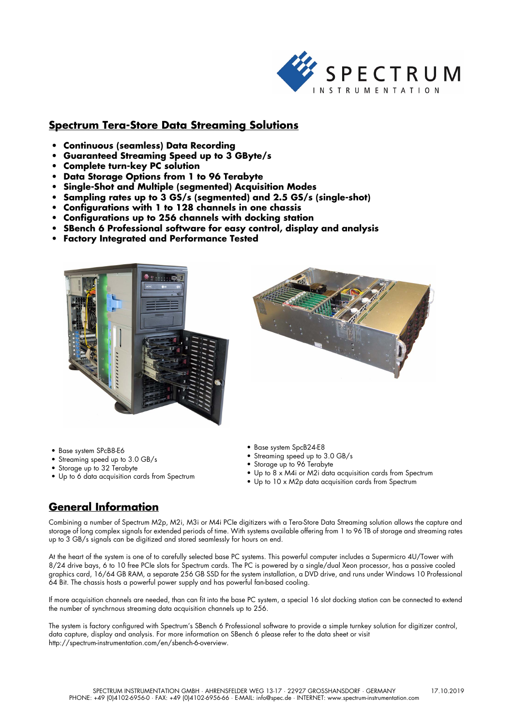

# **Spectrum Tera-Store Data Streaming Solutions**

- **Continuous (seamless) Data Recording**
- **Guaranteed Streaming Speed up to 3 GByte/s**
- **Complete turn-key PC solution**
- **Data Storage Options from 1 to 96 Terabyte**
- **Single-Shot and Multiple (segmented) Acquisition Modes**
- **Sampling rates up to 3 GS/s (segmented) and 2.5 GS/s (single-shot)**
- **Configurations with 1 to 128 channels in one chassis**
- **Configurations up to 256 channels with docking station**
- **SBench 6 Professional software for easy control, display and analysis**
- **Factory Integrated and Performance Tested**





- Base system SPcB8-E6
- Streaming speed up to 3.0 GB/s
- Storage up to 32 Terabyte
- Up to 6 data acquisition cards from Spectrum
- Base system SpcB24-E8
- Streaming speed up to 3.0 GB/s
- Storage up to 96 Terabyte
- Up to 8 x M4i or M2i data acquisition cards from Spectrum
- Up to 10 x M2p data acquisition cards from Spectrum

# **General Information**

Combining a number of Spectrum M2p, M2i, M3i or M4i PCIe digitizers with a Tera-Store Data Streaming solution allows the capture and storage of long complex signals for extended periods of time. With systems available offering from 1 to 96 TB of storage and streaming rates up to 3 GB/s signals can be digitized and stored seamlessly for hours on end.

At the heart of the system is one of to carefully selected base PC systems. This powerful computer includes a Supermicro 4U/Tower with 8/24 drive bays, 6 to 10 free PCIe slots for Spectrum cards. The PC is powered by a single/dual Xeon processor, has a passive cooled graphics card, 16/64 GB RAM, a separate 256 GB SSD for the system installation, a DVD drive, and runs under Windows 10 Professional 64 Bit. The chassis hosts a powerful power supply and has powerful fan-based cooling.

If more acquisition channels are needed, than can fit into the base PC system, a special 16 slot docking station can be connected to extend the number of synchrnous streaming data acquisition channels up to 256.

The system is factory configured with Spectrum's SBench 6 Professional software to provide a simple turnkey solution for digitizer control, data capture, display and analysis. For more information on SBench 6 please refer to the data sheet or visit http://spectrum-instrumentation.com/en/sbench-6-overview.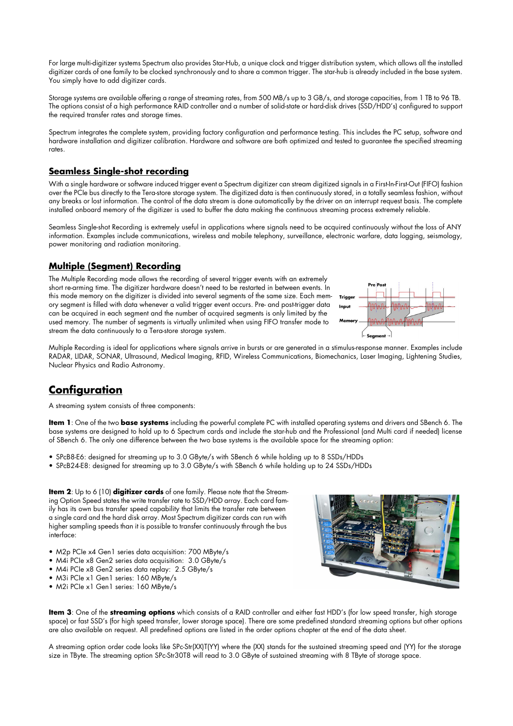For large multi-digitizer systems Spectrum also provides Star-Hub, a unique clock and trigger distribution system, which allows all the installed digitizer cards of one family to be clocked synchronously and to share a common trigger. The star-hub is already included in the base system. You simply have to add digitizer cards.

Storage systems are available offering a range of streaming rates, from 500 MB/s up to 3 GB/s, and storage capacities, from 1 TB to 96 TB. The options consist of a high performance RAID controller and a number of solid-state or hard-disk drives (SSD/HDD's) configured to support the required transfer rates and storage times.

Spectrum integrates the complete system, providing factory configuration and performance testing. This includes the PC setup, software and hardware installation and digitizer calibration. Hardware and software are both optimized and tested to guarantee the specified streaming rates.

### **Seamless Single-shot recording**

With a single hardware or software induced trigger event a Spectrum digitizer can stream digitized signals in a First-In-First-Out (FIFO) fashion over the PCIe bus directly to the Tera-store storage system. The digitized data is then continuously stored, in a totally seamless fashion, without any breaks or lost information. The control of the data stream is done automatically by the driver on an interrupt request basis. The complete installed onboard memory of the digitizer is used to buffer the data making the continuous streaming process extremely reliable.

Seamless Single-shot Recording is extremely useful in applications where signals need to be acquired continuously without the loss of ANY information. Examples include communications, wireless and mobile telephony, surveillance, electronic warfare, data logging, seismology, power monitoring and radiation monitoring.

#### **Multiple (Segment) Recording**

The Multiple Recording mode allows the recording of several trigger events with an extremely short re-arming time. The digitizer hardware doesn't need to be restarted in between events. In this mode memory on the digitizer is divided into several segments of the same size. Each memory segment is filled with data whenever a valid trigger event occurs. Pre- and post-trigger data can be acquired in each segment and the number of acquired segments is only limited by the used memory. The number of segments is virtually unlimited when using FIFO transfer mode to stream the data continuously to a Tera-store storage system.



Multiple Recording is ideal for applications where signals arrive in bursts or are generated in a stimulus-response manner. Examples include RADAR, LIDAR, SONAR, Ultrasound, Medical Imaging, RFID, Wireless Communications, Biomechanics, Laser Imaging, Lightening Studies, Nuclear Physics and Radio Astronomy.

# **Configuration**

A streaming system consists of three components:

**Item 1**: One of the two **base systems** including the powerful complete PC with installed operating systems and drivers and SBench 6. The base systems are designed to hold up to 6 Spectrum cards and include the star-hub and the Professional (and Multi card if needed) license of SBench 6. The only one difference between the two base systems is the available space for the streaming option:

- SPcB8-E6: designed for streaming up to 3.0 GByte/s with SBench 6 while holding up to 8 SSDs/HDDs
- SPcB24-E8: designed for streaming up to 3.0 GByte/s with SBench 6 while holding up to 24 SSDs/HDDs

**Item 2**: Up to 6 (10) **digitizer cards** of one family. Please note that the Streaming Option Speed states the write transfer rate to SSD/HDD array. Each card family has its own bus transfer speed capability that limits the transfer rate between a single card and the hard disk array. Most Spectrum digitizer cards can run with higher sampling speeds than it is possible to transfer continuously through the bus interface:

- M2p PCIe x4 Gen1 series data acquisition: 700 MByte/s
- M4i PCIe x8 Gen2 series data acquisition: 3.0 GByte/s
- M4i PCIe x8 Gen2 series data replay: 2.5 GByte/s
- M3i PCIe x1 Gen1 series: 160 MByte/s
- M2i PCIe x1 Gen1 series: 160 MByte/s



**Item 3**: One of the **streaming options** which consists of a RAID controller and either fast HDD's (for low speed transfer, high storage space) or fast SSD's (for high speed transfer, lower storage space). There are some predefined standard streaming options but other options are also available on request. All predefined options are listed in the order options chapter at the end of the data sheet.

A streaming option order code looks like SPc-Str(XX)T(YY) where the (XX) stands for the sustained streaming speed and (YY) for the storage size in TByte. The streaming option SPc-Str30T8 will read to 3.0 GByte of sustained streaming with 8 TByte of storage space.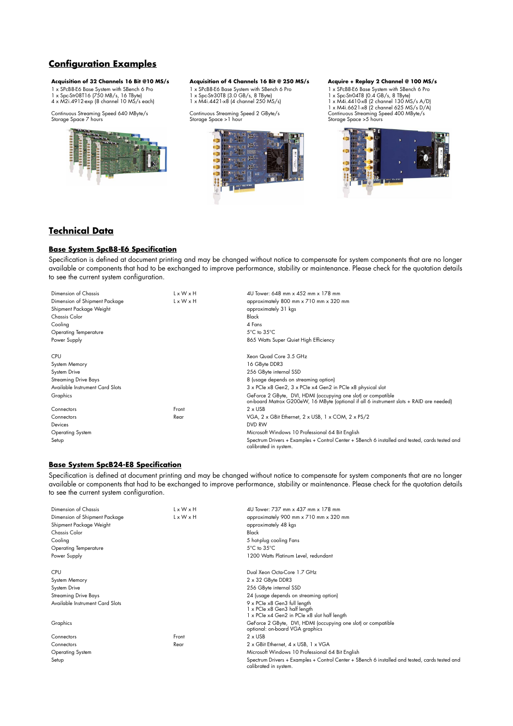# **Configuration Examples**

#### **Acquisition of 32 Channels 16 Bit @10 MS/s Acquisition of 4 Channels 16 Bit @ 250 MS/s Acquire + Replay 2 Channel @ 100 MS/s**

1 x SPcB8-E6 Base System with SBench 6 Pro 1 x Spc-Str08T16 (750 MB/s, 16 TByte) 4 x M2i.4912-exp (8 channel 10 MS/s each)

Continuous Streaming Speed 640 MByte/s Storage Space 7 hours



1 x SPcB8-E6 Base System with SBench 6 Pro 1 x Spc-Str30T8 (3.0 GB/s, 8 TByte) 1 x M4i.4421-x8 (4 channel 250 MS/s)

Continuous Streaming Speed 2 GByte/s Storage Space >1 hour



1 x SPcB8-E6 Base System with SBench 6 Pro 1 x Spc-Str04T8 (0.4 GB/s, 8 TByte) 1 x M4i.4410-x8 (2 channel 130 MS/s A/D) 1 x M4i.6621-x8 (2 channel 625 MS/s D/A) Continuous Streaming Speed 400 MByte/s Storage Space >5 hours



### **Technical Data**

#### **Base System SpcB8-E6 Specification**

Specification is defined at document printing and may be changed without notice to compensate for system components that are no longer available or components that had to be exchanged to improve performance, stability or maintenance. Please check for the quotation details to see the current system configuration.

| Dimension of Chassis            | L x W x H             | 4U Tower: 648 mm x 452 mm x 178 mm                                                                                                                       |  |  |
|---------------------------------|-----------------------|----------------------------------------------------------------------------------------------------------------------------------------------------------|--|--|
| Dimension of Shipment Package   | $L \times W \times H$ | approximately 800 mm x 710 mm x 320 mm                                                                                                                   |  |  |
| Shipment Package Weight         |                       | approximately 31 kgs                                                                                                                                     |  |  |
| <b>Chassis Color</b>            |                       | Black                                                                                                                                                    |  |  |
| Cooling                         |                       | 4 Fans                                                                                                                                                   |  |  |
| <b>Operating Temperature</b>    |                       | $5^{\circ}$ C to $35^{\circ}$ C                                                                                                                          |  |  |
| Power Supply                    |                       | 865 Watts Super Quiet High Efficiency                                                                                                                    |  |  |
| <b>CPU</b>                      |                       | Xeon Quad Core 3.5 GHz                                                                                                                                   |  |  |
| System Memory                   |                       | 16 GByte DDR3                                                                                                                                            |  |  |
| System Drive                    |                       | 256 GByte internal SSD                                                                                                                                   |  |  |
| <b>Streaming Drive Bays</b>     |                       | 8 (usage depends on streaming option)                                                                                                                    |  |  |
| Available Instrument Card Slots |                       | 3 x PCIe x8 Gen2, 3 x PCIe x4 Gen2 in PCIe x8 physical slot                                                                                              |  |  |
| Graphics                        |                       | GeForce 2 GByte, DVI, HDMI (occupying one slot) or compatible<br>on-board Matrox G200eW, 16 MByte (optional if all 6 instrument slots + RAID are needed) |  |  |
| Connectors                      | Front                 | $2 \times$ USB                                                                                                                                           |  |  |
| Connectors                      | Rear                  | VGA, 2 x GBit Ethernet, 2 x USB, 1 x COM, 2 x PS/2                                                                                                       |  |  |
| Devices                         |                       | DVD RW                                                                                                                                                   |  |  |
| Operating System                |                       | Microsoft Windows 10 Professional 64 Bit English                                                                                                         |  |  |
| Setup                           |                       | Spectrum Drivers + Examples + Control Center + SBench 6 installed and tested, cards tested and<br>calibrated in system.                                  |  |  |

#### **Base System SpcB24-E8 Specification**

Specification is defined at document printing and may be changed without notice to compensate for system components that are no longer available or components that had to be exchanged to improve performance, stability or maintenance. Please check for the quotation details to see the current system configuration.

| Dimension of Chassis            | L x W x H             | 4U Tower: 737 mm x 437 mm x 178 mm                                                                                      |  |  |
|---------------------------------|-----------------------|-------------------------------------------------------------------------------------------------------------------------|--|--|
| Dimension of Shipment Package   | $L \times W \times H$ | approximately 900 mm x 710 mm x 320 mm                                                                                  |  |  |
| Shipment Package Weight         |                       | approximately 48 kgs                                                                                                    |  |  |
| Chassis Color                   |                       | Black                                                                                                                   |  |  |
| Cooling                         |                       | 5 hot-plug cooling Fans                                                                                                 |  |  |
| <b>Operating Temperature</b>    |                       | $5^{\circ}$ C to $35^{\circ}$ C                                                                                         |  |  |
| Power Supply                    |                       | 1200 Watts Platinum Level, redundant                                                                                    |  |  |
| <b>CPU</b>                      |                       | Dual Xeon Octa-Core 1.7 GHz                                                                                             |  |  |
| System Memory                   |                       | $2 \times 32$ GByte DDR3                                                                                                |  |  |
| System Drive                    |                       | 256 GByte internal SSD                                                                                                  |  |  |
| <b>Streaming Drive Bays</b>     |                       | 24 (usage depends on streaming option)                                                                                  |  |  |
| Available Instrument Card Slots |                       | 9 x PCIe x8 Gen3 full length                                                                                            |  |  |
|                                 |                       | 1 x PCIe x8 Gen3 half length                                                                                            |  |  |
|                                 |                       | 1 x PCle x4 Gen2 in PCle x8 slot half length                                                                            |  |  |
| Graphics                        |                       | GeForce 2 GByte, DVI, HDMI (occupying one slot) or compatible<br>optional: on-board VGA graphics                        |  |  |
| Connectors                      | Front                 | $2 \times$ USB                                                                                                          |  |  |
| Connectors                      | Rear                  | 2 x GBit Ethernet, 4 x USB, 1 x VGA                                                                                     |  |  |
| Operating System                |                       | Microsoft Windows 10 Professional 64 Bit English                                                                        |  |  |
| Setup                           |                       | Spectrum Drivers + Examples + Control Center + SBench 6 installed and tested, cards tested and<br>calibrated in system. |  |  |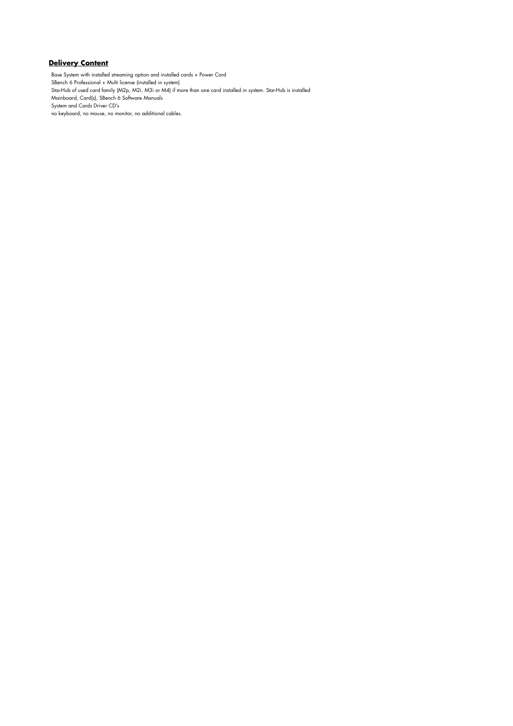#### **Delivery Content**

Base System with installed streaming option and installed cards + Power Cord SBench 6 Professional + Multi license (installed in system) Star-Hub of used card family (M2p, M2i, M3i or M4) if more than one card installed in system. Star-Hub is installed Mainboard, Card(s), SBench 6 Software Manuals System and Cards Driver CD's no keyboard, no mouse, no monitor, no additional cables.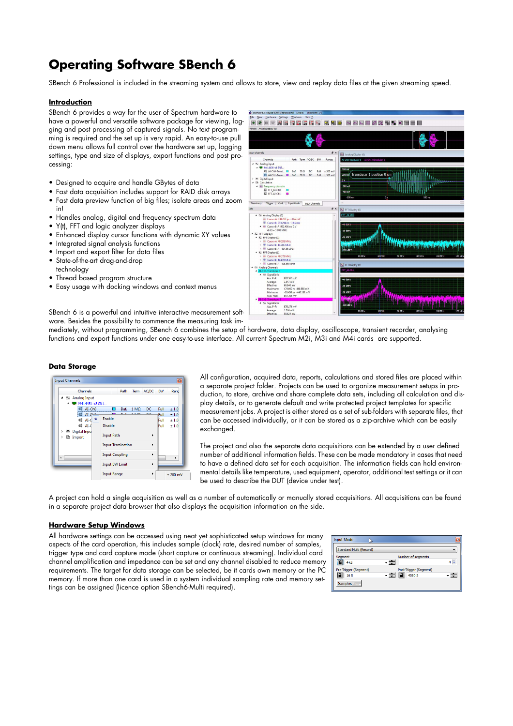# **Operating Software SBench 6**

SBench 6 Professional is included in the streaming system and allows to store, view and replay data files at the given streaming speed.

#### **Introduction**

SBench 6 provides a way for the user of Spectrum hardware to have a powerful and versatile software package for viewing, logging and post processing of captured signals. No text programming is required and the set up is very rapid. An easy-to-use pull down menu allows full control over the hardware set up, logging settings, type and size of displays, export functions and post processing:

- Designed to acquire and handle GBytes of data
- Fast data acquisition includes support for RAID disk arrays
- Fast data preview function of big files; isolate areas and zoom in!
- Handles analog, digital and frequency spectrum data
- Y(t), FFT and logic analyzer displays
- Enhanced display cursor functions with dynamic XY values
- Integrated signal analysis functions
- Import and export filter for data files
- State-of-the-art drag-and-drop technology
- Thread based program structure
- Easy usage with docking windows and context menus



SBench 6 is a powerful and intuitive interactive measurement software. Besides the possibility to commence the measuring task im-

mediately, without programming, SBench 6 combines the setup of hardware, data display, oscilloscope, transient recorder, analysing functions and export functions under one easy-to-use interface. All current Spectrum M2i, M3i and M4i cards are supported.

#### **Data Storage**

| Channels                                     |                          | Path     | <b>Term</b> | AC/DC                 | <b>BW</b> | Rand       |
|----------------------------------------------|--------------------------|----------|-------------|-----------------------|-----------|------------|
| 4 N Analog Input<br>M4i, 4451-x8 SN1         |                          |          |             |                       |           |            |
| AI-Ch0<br>Œ                                  |                          | Buf.     | $1 M\Omega$ | DC                    | Full      | ±1.0       |
| $AI$ - $C4-4$                                |                          | $D_{11}$ | 1.340       | nc.                   | Full      | ±1.0       |
| $\bullet$<br>$\blacksquare$ AI-C             | Enable                   |          |             |                       | Full      | ±1.0       |
| $\blacksquare$ AI-0                          | <b>Disable</b>           |          |             |                       | Full      | ±1.0       |
| JL Digital Inpu<br>Þ<br><b>■</b> Import<br>Þ | <b>Input Path</b>        |          |             | $\blacktriangleright$ |           |            |
|                                              | <b>Input Termination</b> |          |             | k                     |           |            |
| $\epsilon$                                   | <b>Input Coupling</b>    |          |             | Þ                     |           | k          |
|                                              | <b>Input BW Limit</b>    |          |             | k                     |           |            |
|                                              | <b>Input Range</b>       |          |             | ٠                     |           | $± 200$ mV |

All configuration, acquired data, reports, calculations and stored files are placed within a separate project folder. Projects can be used to organize measurement setups in production, to store, archive and share complete data sets, including all calculation and display details, or to generate default and write protected project templates for specific measurement jobs. A project is either stored as a set of sub-folders with separate files, that can be accessed individually, or it can be stored as a zip-archive which can be easily exchanged.

The project and also the separate data acquisitions can be extended by a user defined number of additional information fields. These can be made mandatory in cases that need to have a defined data set for each acquisition. The information fields can hold environmental details like temperature, used equipment, operator, additional test settings or it can be used to describe the DUT (device under test).

A project can hold a single acquisition as well as a number of automatically or manually stored acquisitions. All acquisitions can be found in a separate project data browser that also displays the acquisition information on the side.

#### **Hardware Setup Windows**

All hardware settings can be accessed using neat yet sophisticated setup windows for many aspects of the card operation, this includes sample (clock) rate, desired number of samples, trigger type and card capture mode (short capture or continuous streaming). Individual card channel amplification and impedance can be set and any channel disabled to reduce memory requirements. The target for data storage can be selected, be it cards own memory or the PC memory. If more than one card is used in a system individual sampling rate and memory settings can be assigned (licence option SBench6-Multi required).

| <b>Input Mode</b>                        |                                                                |         |
|------------------------------------------|----------------------------------------------------------------|---------|
| <b>Standard Multi (Record)</b>           |                                                                |         |
| Segment<br>4kS                           | Number of segments<br>- ÷                                      | $4\div$ |
| Pre-Trigger (Segment)<br>16 <sub>S</sub> | Post-Trigger (Segment)<br>$\mathbb{E}$<br><b>. 수</b><br>4080 S | - ÷     |
| <b>Samples</b>                           |                                                                |         |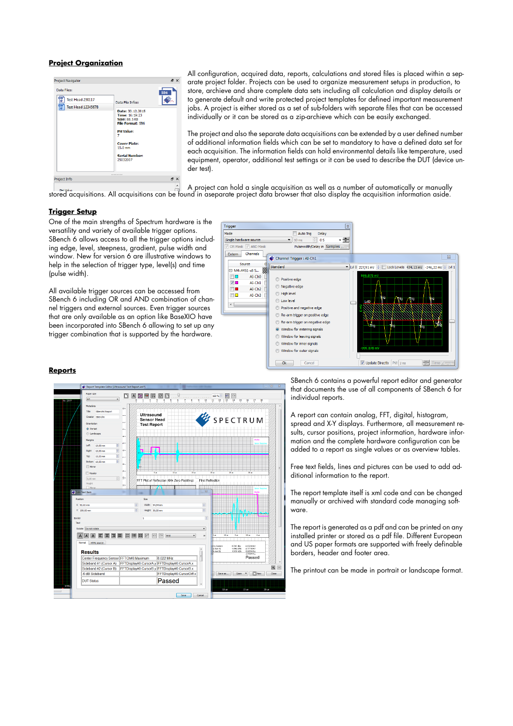#### **Project Organization**



All configuration, acquired data, reports, calculations and stored files is placed within a separate project folder. Projects can be used to organize measurement setups in production, to store, archieve and share complete data sets including all calculation and display details or to generate default and write protected project templates for defined important measurement jobs. A project is either stored as a set of sub-folders with separate files that can be accessed individually or it can be stored as a zip-archieve which can be easily exchanged.

The project and also the separate data acquisitions can be extended by a user defined number of additional information fields which can be set to mandatory to have a defined data set for each acquisition. The information fields can hold environmental details like temperature, used equipment, operator, additional test settings or it can be used to describe the DUT (device under test).

A project can hold a single acquisition as well as a number of automatically or manually<br>stored acquisitions. All acquisitions can be found in aseparate project data browser that also display the acquisition information a

#### **Trigger Setup**

One of the main strengths of Spectrum hardware is the versatility and variety of available trigger options. SBench 6 allows access to all the trigger options including edge, level, steepness, gradient, pulse width and window. New for version 6 are illustrative windows to help in the selection of trigger type, level(s) and time (pulse width).

All available trigger sources can be accessed from SBench 6 including OR and AND combination of channel triggers and external sources. Even trigger sources that are only available as an option like BaseXIO have been incorporated into SBench 6 allowing to set up any trigger combination that is supported by the hardware.



#### **Reports**



SBench 6 contains a powerful report editor and generator that documents the use of all components of SBench 6 for individual reports.

A report can contain analog, FFT, digital, histogram, spread and X-Y displays. Furthermore, all measurement results, cursor positions, project information, hardware information and the complete hardware configuration can be added to a report as single values or as overview tables.

Free text fields, lines and pictures can be used to add additional information to the report.

The report template itself is xml code and can be changed manually or archived with standard code managing software.

The report is generated as a pdf and can be printed on any installed printer or stored as a pdf file. Different European and US paper formats are supported with freely definable borders, header and footer area.

The printout can be made in portrait or landscape format.